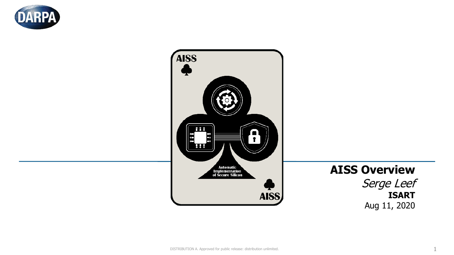



# **AISS Overview**

Serge Leef **ISART** Aug 11, 2020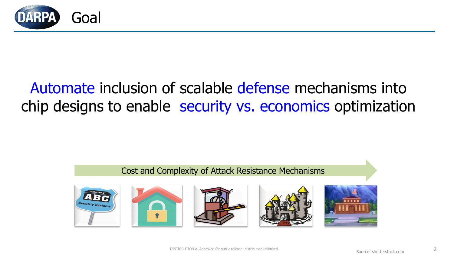

# Automate inclusion of scalable defense mechanisms into chip designs to enable security vs. economics optimization

### Cost and Complexity of Attack Resistance Mechanisms









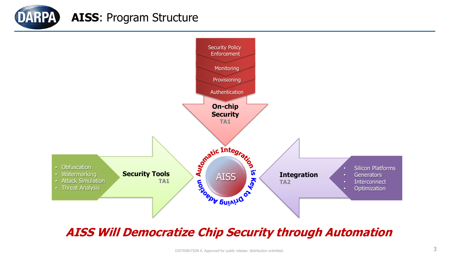



# **AISS Will Democratize Chip Security through Automation**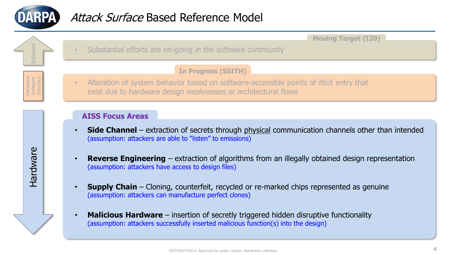

Hardware Software Software Software

**Hardware** 

Hardware Software Interface **Moving Target (I20)**

Substantial efforts are on-going in the software community

#### **In Progress (SSITH)**

• Alteration of system behavior based on software-accessible points of illicit entry that exist due to hardware design weaknesses or architectural flaws

#### **AISS Focus Areas**

- **Side Channel** extraction of secrets through physical communication channels other than intended (assumption: attackers are able to "listen" to emissions)
- **Reverse Engineering**  extraction of algorithms from an illegally obtained design representation (assumption: attackers have access to design files)
- **Supply Chain**  Cloning, counterfeit, recycled or re-marked chips represented as genuine (assumption: attackers can manufacture perfect clones)
- **Malicious Hardware**  insertion of secretly triggered hidden disruptive functionality (assumption: attackers successfully inserted malicious function(s) into the design)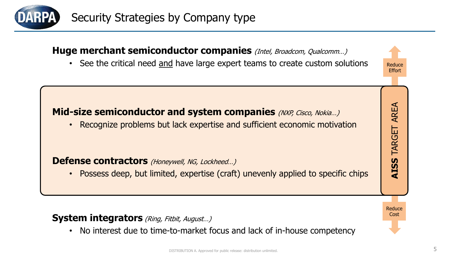

### **Huge merchant semiconductor companies** (Intel, Broadcom, Qualcomm...)

• See the critical need and have large expert teams to create custom solutions

Reduce **Effort** 

AREA

TARGET

 $\boldsymbol{\mathsf{S}}$ 

**ATS** 

# **Mid-size semiconductor and system companies** (NXP, Cisco, Nokia...)

• Recognize problems but lack expertise and sufficient economic motivation

#### **Defense contractors** (Honeywell, NG, Lockheed...)

• Possess deep, but limited, expertise (craft) unevenly applied to specific chips

Cost**AISS** TARGET AREA Reduce Cost

### **System integrators** (Ring, Fitbit, August...)

• No interest due to time-to-market focus and lack of in-house competency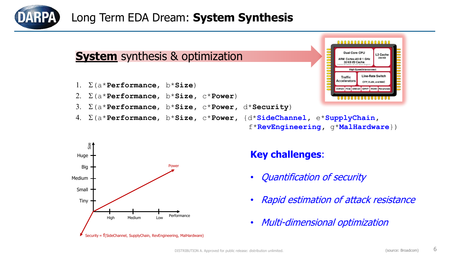

# Long Term EDA Dream: **System Synthesis**

# **System** synthesis & optimization

- 1. S(a\***Performance**, b\***Size**)
- 2. S(a\***Performance**, b\***Size,** c\***Power**)
- 3. S(a\***Performance**, b\***Size,** c\***Power,** d\***Security**)
- 4. S(a\***Performance**, b\***Size,** c\***Power,** {d\***SideChannel,** e\***SupplyChain,**





### **Key challenges**:

- Quantification of security
- Rapid estimation of attack resistance
- Multi-dimensional optimization

f\***RevEngineering,** g\***MalHardware**})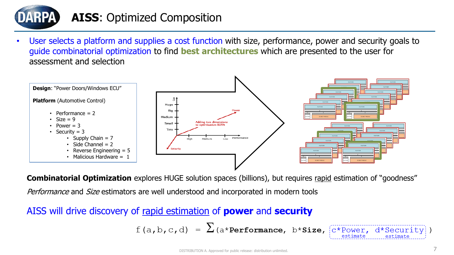

# **AISS**: Optimized Composition

User selects a platform and supplies a cost function with size, performance, power and security goals to guide combinatorial optimization to find **best architectures** which are presented to the user for assessment and selection



**Combinatorial Optimization** explores HUGE solution spaces (billions), but requires rapid estimation of "goodness" Performance and Size estimators are well understood and incorporated in modern tools

# AISS will drive discovery of rapid estimation of **power** and **security**

$$
f(a,b,c,d) = \sum_{a \text{ *Performance, } b \text{ *Size,}} \frac{f^{(a)}(a,b,c,d)}{f^{(a)}(a,c,d)} = \sum_{a \text{ * P}{\text{ }a}} f^{(a)}(a,b,c,d)
$$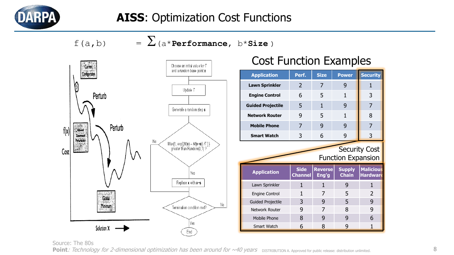

 $f(a,b) = \sum_{(a^* \text{Performance}, b^* \text{Size})}$ 



# Cost Function Examples

| <b>Application</b>                                | Perf.                         | <b>Size</b>             | <b>Power</b>                  | <b>Security</b>                     |
|---------------------------------------------------|-------------------------------|-------------------------|-------------------------------|-------------------------------------|
| <b>Lawn Sprinkler</b>                             | 2                             | 7                       | 9                             | 1                                   |
| <b>Engine Control</b>                             | 6                             | 5                       | $\mathbf{1}$                  | 3                                   |
| <b>Guided Projectile</b>                          | 5                             | $\mathbf{1}$            | 9                             | 7                                   |
| <b>Network Router</b>                             | 9                             | 5                       | 1                             | 8                                   |
| <b>Mobile Phone</b>                               | 7                             | 9                       | 9                             | 7                                   |
| <b>Smart Watch</b>                                | 3                             | 6                       | 9                             | 3                                   |
| <b>Security Cost</b><br><b>Function Expansion</b> |                               |                         |                               |                                     |
| <b>Application</b>                                | <b>Side</b><br><b>Channel</b> | <b>Reverse</b><br>Eng'g | <b>Supply</b><br><b>Chain</b> | <b>Malicious</b><br><b>Hardware</b> |
| Lawn Sprinkler                                    | $\mathbf{1}$                  | 1                       | 9                             | $\mathbf{1}$                        |
| <b>Engine Control</b>                             | 1                             | 7                       | 5                             | 2                                   |
| <b>Guided Projectile</b>                          | 3                             | 9                       | 5                             | 9                                   |
|                                                   |                               |                         | 8                             |                                     |
| Network Router                                    | 9                             | 7                       |                               | 9                                   |
| <b>Mobile Phone</b>                               | 8                             | 9                       | 9                             | 6                                   |

Source: The 80s

Point: Technology for 2-dimensional optimization has been around for ~40 years DISTRIBUTION A. Approved for public release: distribution unlimited.